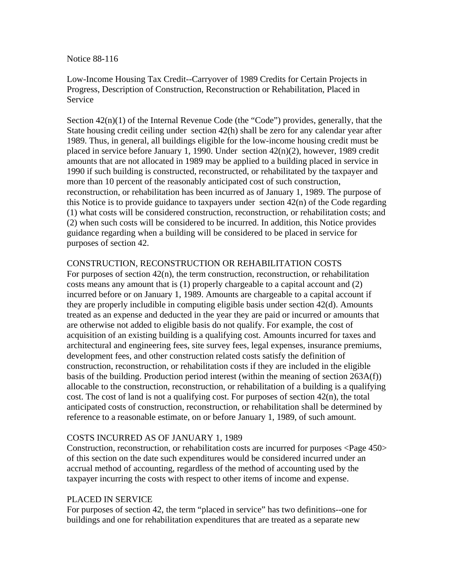Notice 88-116

Low-Income Housing Tax Credit--Carryover of 1989 Credits for Certain Projects in Progress, Description of Construction, Reconstruction or Rehabilitation, Placed in Service

Section  $42(n)(1)$  of the Internal Revenue Code (the "Code") provides, generally, that the State housing credit ceiling under section 42(h) shall be zero for any calendar year after 1989. Thus, in general, all buildings eligible for the low-income housing credit must be placed in service before January 1, 1990. Under section 42(n)(2), however, 1989 credit amounts that are not allocated in 1989 may be applied to a building placed in service in 1990 if such building is constructed, reconstructed, or rehabilitated by the taxpayer and more than 10 percent of the reasonably anticipated cost of such construction, reconstruction, or rehabilitation has been incurred as of January 1, 1989. The purpose of this Notice is to provide guidance to taxpayers under section 42(n) of the Code regarding (1) what costs will be considered construction, reconstruction, or rehabilitation costs; and (2) when such costs will be considered to be incurred. In addition, this Notice provides guidance regarding when a building will be considered to be placed in service for purposes of section 42.

## CONSTRUCTION, RECONSTRUCTION OR REHABILITATION COSTS

For purposes of section 42(n), the term construction, reconstruction, or rehabilitation costs means any amount that is (1) properly chargeable to a capital account and (2) incurred before or on January 1, 1989. Amounts are chargeable to a capital account if they are properly includible in computing eligible basis under section 42(d). Amounts treated as an expense and deducted in the year they are paid or incurred or amounts that are otherwise not added to eligible basis do not qualify. For example, the cost of acquisition of an existing building is a qualifying cost. Amounts incurred for taxes and architectural and engineering fees, site survey fees, legal expenses, insurance premiums, development fees, and other construction related costs satisfy the definition of construction, reconstruction, or rehabilitation costs if they are included in the eligible basis of the building. Production period interest (within the meaning of section 263A(f)) allocable to the construction, reconstruction, or rehabilitation of a building is a qualifying cost. The cost of land is not a qualifying cost. For purposes of section 42(n), the total anticipated costs of construction, reconstruction, or rehabilitation shall be determined by reference to a reasonable estimate, on or before January 1, 1989, of such amount.

## COSTS INCURRED AS OF JANUARY 1, 1989

Construction, reconstruction, or rehabilitation costs are incurred for purposes <Page 450> of this section on the date such expenditures would be considered incurred under an accrual method of accounting, regardless of the method of accounting used by the taxpayer incurring the costs with respect to other items of income and expense.

## PLACED IN SERVICE

For purposes of section 42, the term "placed in service" has two definitions--one for buildings and one for rehabilitation expenditures that are treated as a separate new